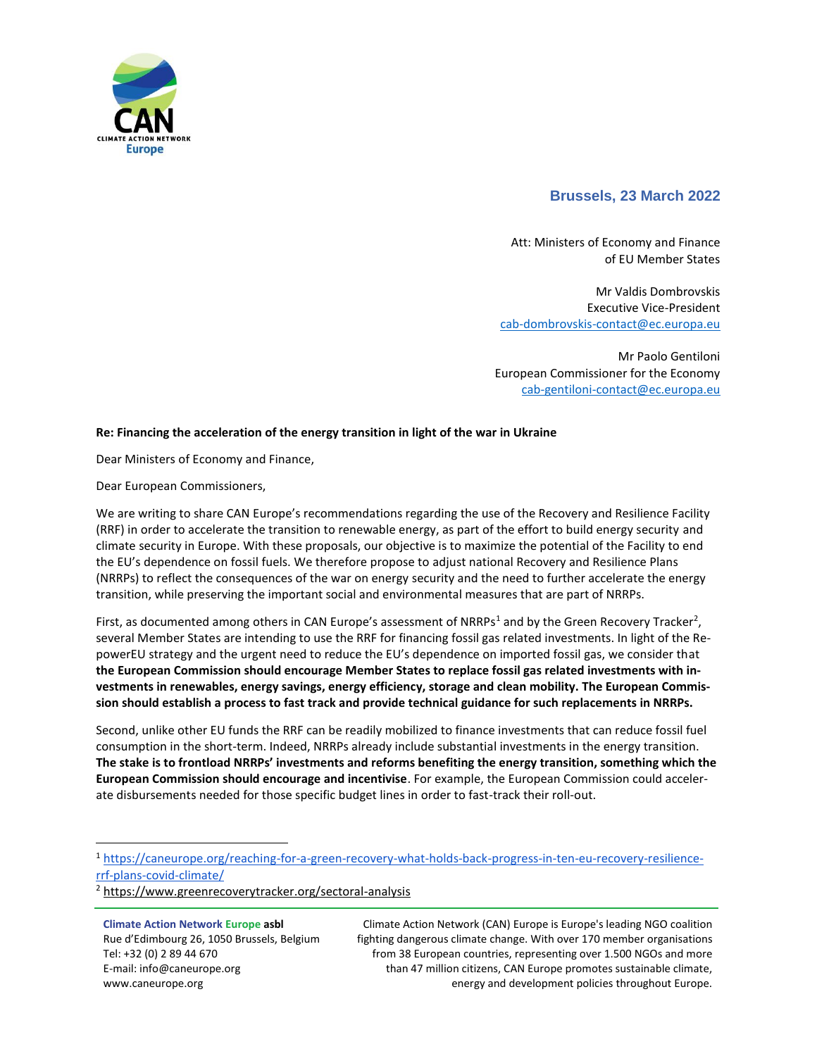

## **Brussels, 23 March 2022**

Att: Ministers of Economy and Finance of EU Member States

Mr Valdis Dombrovskis Executive Vice-President [cab-dombrovskis-contact@ec.europa.eu](mailto:cab-dombrovskis-contact@ec.europa.eu)

Mr Paolo Gentiloni European Commissioner for the Economy [cab-gentiloni-contact@ec.europa.eu](mailto:cab-gentiloni-contact@ec.europa.eu)

## **Re: Financing the acceleration of the energy transition in light of the war in Ukraine**

Dear Ministers of Economy and Finance,

Dear European Commissioners,

We are writing to share CAN Europe's recommendations regarding the use of the Recovery and Resilience Facility (RRF) in order to accelerate the transition to renewable energy, as part of the effort to build energy security and climate security in Europe. With these proposals, our objective is to maximize the potential of the Facility to end the EU's dependence on fossil fuels. We therefore propose to adjust national Recovery and Resilience Plans (NRRPs) to reflect the consequences of the war on energy security and the need to further accelerate the energy transition, while preserving the important social and environmental measures that are part of NRRPs.

First, as documented among others in CAN Europe's assessment of NRRPs<sup>1</sup> and by the Green Recovery Tracker<sup>2</sup>, several Member States are intending to use the RRF for financing fossil gas related investments. In light of the RepowerEU strategy and the urgent need to reduce the EU's dependence on imported fossil gas, we consider that **the European Commission should encourage Member States to replace fossil gas related investments with investments in renewables, energy savings, energy efficiency, storage and clean mobility. The European Commission should establish a process to fast track and provide technical guidance for such replacements in NRRPs.**

Second, unlike other EU funds the RRF can be readily mobilized to finance investments that can reduce fossil fuel consumption in the short-term. Indeed, NRRPs already include substantial investments in the energy transition. **The stake is to frontload NRRPs' investments and reforms benefiting the energy transition, something which the European Commission should encourage and incentivise**. For example, the European Commission could accelerate disbursements needed for those specific budget lines in order to fast-track their roll-out.

**Climate Action Network Europe asbl** Rue d'Edimbourg 26, 1050 Brussels, Belgium Tel: +32 (0) 2 89 44 670 E-mail: info@caneurope.org www.caneurope.org

 $\overline{\phantom{a}}$ 

Climate Action Network (CAN) Europe is Europe's leading NGO coalition fighting dangerous climate change. With over 170 member organisations from 38 European countries, representing over 1.500 NGOs and more than 47 million citizens, CAN Europe promotes sustainable climate, energy and development policies throughout Europe.

<sup>1</sup> [https://caneurope.org/reaching-for-a-green-recovery-what-holds-back-progress-in-ten-eu-recovery-resilience](https://caneurope.org/reaching-for-a-green-recovery-what-holds-back-progress-in-ten-eu-recovery-resilience-rrf-plans-covid-climate/)[rrf-plans-covid-climate/](https://caneurope.org/reaching-for-a-green-recovery-what-holds-back-progress-in-ten-eu-recovery-resilience-rrf-plans-covid-climate/)

<sup>2</sup> <https://www.greenrecoverytracker.org/sectoral-analysis>